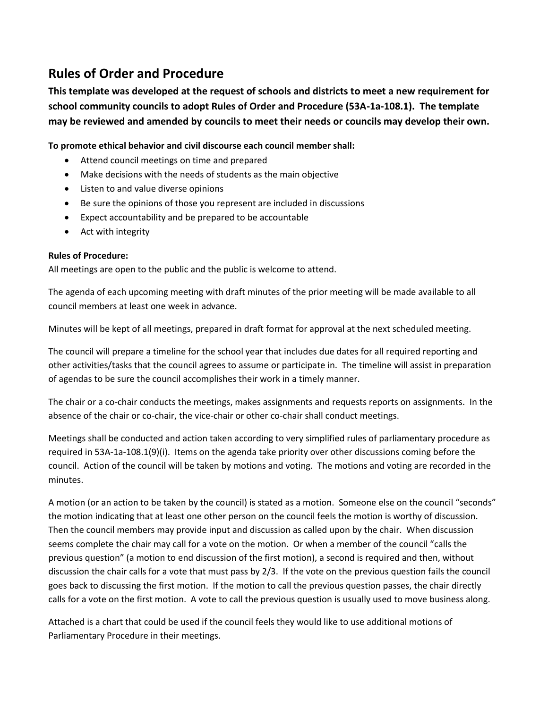## **Rules of Order and Procedure**

**This template was developed at the request of schools and districts to meet a new requirement for school community councils to adopt Rules of Order and Procedure (53A-1a-108.1). The template may be reviewed and amended by councils to meet their needs or councils may develop their own.**

**To promote ethical behavior and civil discourse each council member shall:**

- Attend council meetings on time and prepared
- Make decisions with the needs of students as the main objective
- Listen to and value diverse opinions
- Be sure the opinions of those you represent are included in discussions
- Expect accountability and be prepared to be accountable
- Act with integrity

## **Rules of Procedure:**

All meetings are open to the public and the public is welcome to attend.

The agenda of each upcoming meeting with draft minutes of the prior meeting will be made available to all council members at least one week in advance.

Minutes will be kept of all meetings, prepared in draft format for approval at the next scheduled meeting.

The council will prepare a timeline for the school year that includes due dates for all required reporting and other activities/tasks that the council agrees to assume or participate in. The timeline will assist in preparation of agendas to be sure the council accomplishes their work in a timely manner.

The chair or a co-chair conducts the meetings, makes assignments and requests reports on assignments. In the absence of the chair or co-chair, the vice-chair or other co-chair shall conduct meetings.

Meetings shall be conducted and action taken according to very simplified rules of parliamentary procedure as required in 53A-1a-108.1(9)(i). Items on the agenda take priority over other discussions coming before the council. Action of the council will be taken by motions and voting. The motions and voting are recorded in the minutes.

A motion (or an action to be taken by the council) is stated as a motion. Someone else on the council "seconds" the motion indicating that at least one other person on the council feels the motion is worthy of discussion. Then the council members may provide input and discussion as called upon by the chair. When discussion seems complete the chair may call for a vote on the motion. Or when a member of the council "calls the previous question" (a motion to end discussion of the first motion), a second is required and then, without discussion the chair calls for a vote that must pass by 2/3. If the vote on the previous question fails the council goes back to discussing the first motion. If the motion to call the previous question passes, the chair directly calls for a vote on the first motion. A vote to call the previous question is usually used to move business along.

Attached is a chart that could be used if the council feels they would like to use additional motions of Parliamentary Procedure in their meetings.